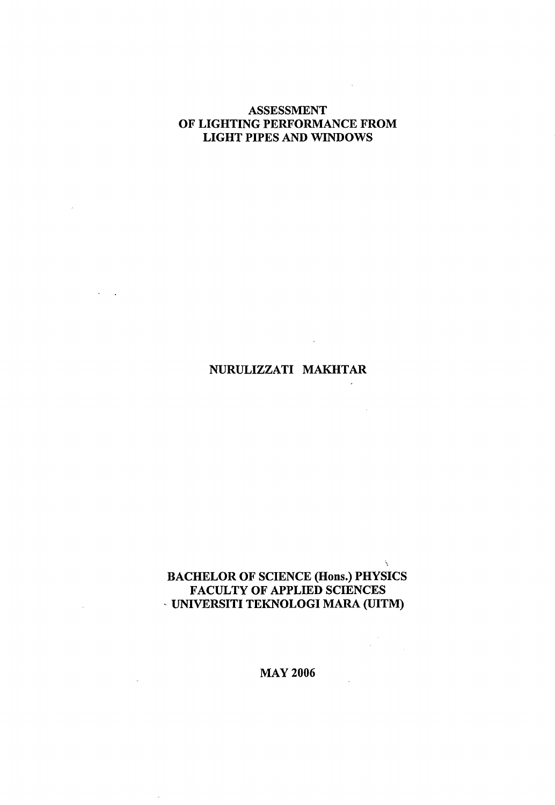### ASSESSMENT OF LIGHTING PERFORMANCE FROM LIGHT PIPES AND WINDOWS

 $\sim$   $^{\circ}$ 

 $\sim 10^{-1}$ 

 $\bar{\lambda}$ 

 $\mathbf{\hat{x}}_t$ 

# NURULIZZATI MAKHTAR

## BACHELOR OF SCIENCE (Hons.) PHYSICS FACULTY OF APPLIED SCIENCES UNIVERSITI TEKNOLOGI MARA (UITM)

MAY 2006

 $\mu$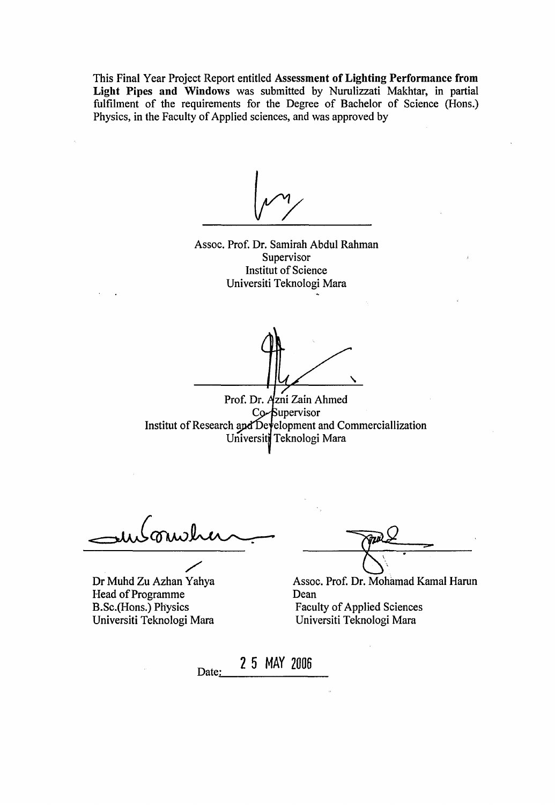This Final Year Project Report entitled **Assessment of Lighting Performance from Light Pipes and Windows** was submitted by Nurulizzati Makhtar, in partial fulfilment of the requirements for the Degree of Bachelor of Science (Hons.) Physics, in the Faculty of Applied sciences, and was approved by

**Yv** 

Assoc. Prof. Dr. Samirah Abdul Rahman **Supervisor** Institut of Science Universiti Teknologi Mara

Prof. Dr. Azni Zain Ahmed Co-Supervisor Institut of Research and Development and Commerciallization Universiti Teknologi Mara

 $=$  who minute

Dr Muhd Zu Azhan Yahya Head of Programme B.Sc.(Hons.) Physics Universiti Teknologi Mara

**- & -**

Assoc. Prof. Dr. Mohamad Kamal Harun Dean Faculty of Applied Sciences Universiti Teknologi Mara

Date: **2 5 MAY 2006**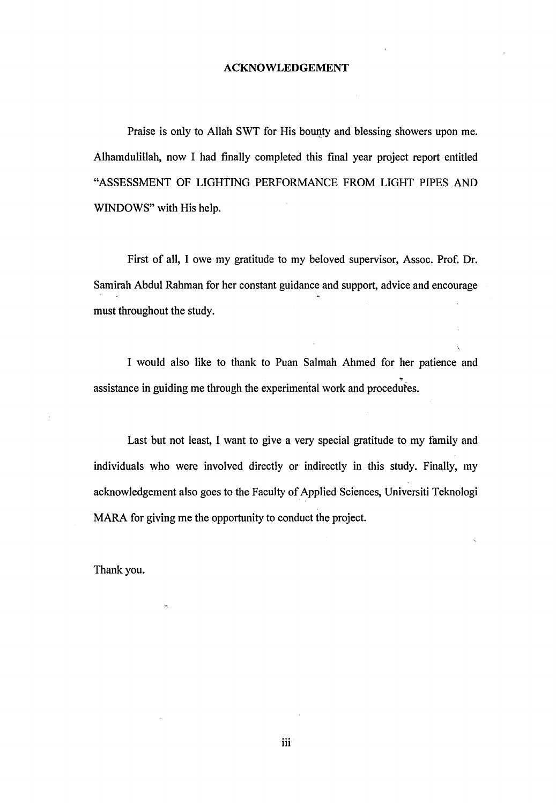#### ACKNOWLEDGEMENT

Praise is only to Allah SWT for His bounty and blessing showers upon me. Alhamdulillah, now I had finally completed this final year project report entitled "ASSESSMENT OF LIGHTING PERFORMANCE FROM LIGHT PIPES AND WINDOWS" with His help.

First of all, I owe my gratitude to my beloved supervisor, Assoc. Prof. Dr. Samirah Abdul Rahman for her constant guidance and support, advice and encourage must throughout the study.

I would also like to thank to Puan Salmah Ahmed for her patience and assistance in guiding me through the experimental work and procedures.

Last but not least, I want to give a very special gratitude to my family and individuals who were involved directly or indirectly in this study. Finally, my acknowledgement also goes to the Faculty of Applied Sciences, Universiti Teknologi MARA for giving me the opportunity to conduct the project.

Thank you.

iii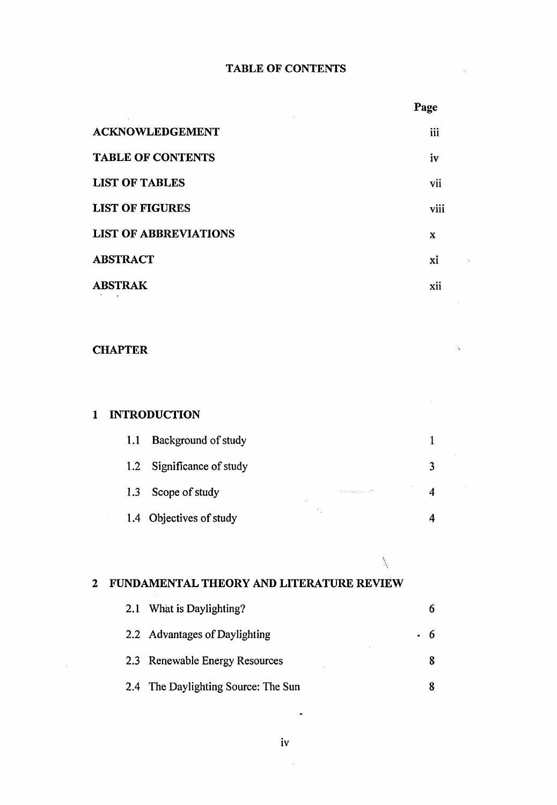#### **TABLE OF CONTENTS**

|                              | Page |
|------------------------------|------|
| <b>ACKNOWLEDGEMENT</b>       | iii  |
| <b>TABLE OF CONTENTS</b>     | iv   |
| <b>LIST OF TABLES</b>        | vii  |
| <b>LIST OF FIGURES</b>       | viii |
| <b>LIST OF ABBREVIATIONS</b> | X    |
| <b>ABSTRACT</b>              | xi   |
| <b>ABSTRAK</b>               | xii  |
|                              |      |

#### **CHAPTER**

# **1 INTRODUCTION 1.1** Background of study 1 1.2 Significance of study 3 1.3 Scope of study 4 1.4 Objectives of study 4

## **2 FUNDAMENTAL THEORY AND LITERATURE REVIEW**

| 2.1 What is Daylighting?             |    |
|--------------------------------------|----|
| 2.2 Advantages of Daylighting        | -6 |
| 2.3 Renewable Energy Resources<br>t. |    |
| 2.4 The Daylighting Source: The Sun  |    |

¥